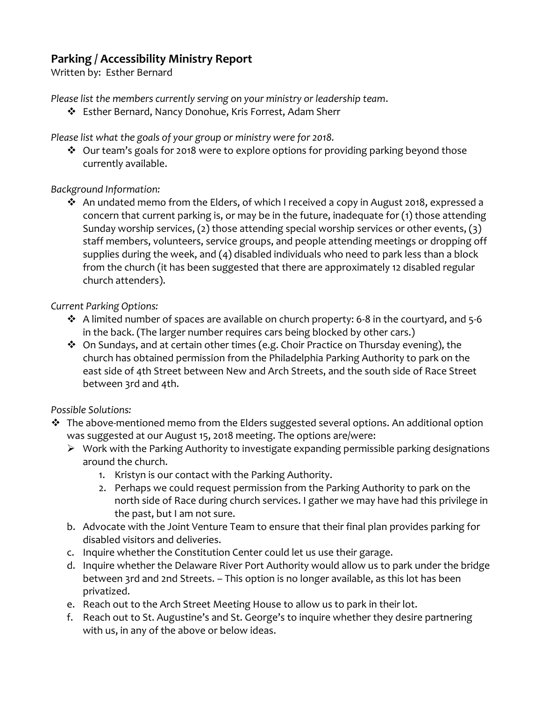# **Parking / Accessibility Ministry Report**

Written by: Esther Bernard

*Please list the members currently serving on your ministry or leadership team*.

Esther Bernard, Nancy Donohue, Kris Forrest, Adam Sherr

*Please list what the goals of your group or ministry were for 2018.*

 $\cdot$  Our team's goals for 2018 were to explore options for providing parking beyond those currently available.

## *Background Information:*

 An undated memo from the Elders, of which I received a copy in August 2018, expressed a concern that current parking is, or may be in the future, inadequate for (1) those attending Sunday worship services, (2) those attending special worship services or other events, (3) staff members, volunteers, service groups, and people attending meetings or dropping off supplies during the week, and (4) disabled individuals who need to park less than a block from the church (it has been suggested that there are approximately 12 disabled regular church attenders).

## *Current Parking Options:*

- $\cdot$  A limited number of spaces are available on church property: 6-8 in the courtyard, and 5-6 in the back. (The larger number requires cars being blocked by other cars.)
- On Sundays, and at certain other times (e.g. Choir Practice on Thursday evening), the church has obtained permission from the Philadelphia Parking Authority to park on the east side of 4th Street between New and Arch Streets, and the south side of Race Street between 3rd and 4th.

### *Possible Solutions:*

- The above-mentioned memo from the Elders suggested several options. An additional option was suggested at our August 15, 2018 meeting. The options are/were:
	- $\triangleright$  Work with the Parking Authority to investigate expanding permissible parking designations around the church.
		- 1. Kristyn is our contact with the Parking Authority.
		- 2. Perhaps we could request permission from the Parking Authority to park on the north side of Race during church services. I gather we may have had this privilege in the past, but I am not sure.
	- b. Advocate with the Joint Venture Team to ensure that their final plan provides parking for disabled visitors and deliveries.
	- c. Inquire whether the Constitution Center could let us use their garage.
	- d. Inquire whether the Delaware River Port Authority would allow us to park under the bridge between 3rd and 2nd Streets. – This option is no longer available, as this lot has been privatized.
	- e. Reach out to the Arch Street Meeting House to allow us to park in their lot.
	- f. Reach out to St. Augustine's and St. George's to inquire whether they desire partnering with us, in any of the above or below ideas.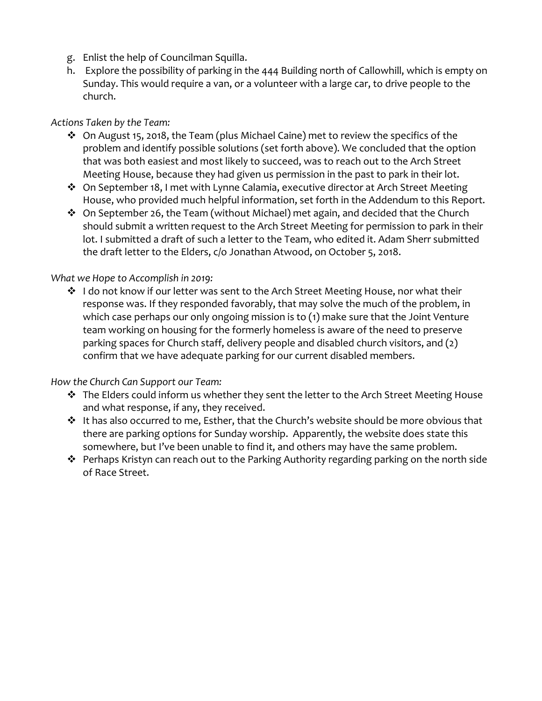- g. Enlist the help of Councilman Squilla.
- h. Explore the possibility of parking in the 444 Building north of Callowhill, which is empty on Sunday. This would require a van, or a volunteer with a large car, to drive people to the church.

#### *Actions Taken by the Team:*

- On August 15, 2018, the Team (plus Michael Caine) met to review the specifics of the problem and identify possible solutions (set forth above). We concluded that the option that was both easiest and most likely to succeed, was to reach out to the Arch Street Meeting House, because they had given us permission in the past to park in their lot.
- On September 18, I met with Lynne Calamia, executive director at Arch Street Meeting House, who provided much helpful information, set forth in the Addendum to this Report.
- On September 26, the Team (without Michael) met again, and decided that the Church should submit a written request to the Arch Street Meeting for permission to park in their lot. I submitted a draft of such a letter to the Team, who edited it. Adam Sherr submitted the draft letter to the Elders, c/o Jonathan Atwood, on October 5, 2018.

#### *What we Hope to Accomplish in 2019:*

❖ I do not know if our letter was sent to the Arch Street Meeting House, nor what their response was. If they responded favorably, that may solve the much of the problem, in which case perhaps our only ongoing mission is to (1) make sure that the Joint Venture team working on housing for the formerly homeless is aware of the need to preserve parking spaces for Church staff, delivery people and disabled church visitors, and (2) confirm that we have adequate parking for our current disabled members.

#### *How the Church Can Support our Team:*

- $\cdot \cdot$  The Elders could inform us whether they sent the letter to the Arch Street Meeting House and what response, if any, they received.
- It has also occurred to me, Esther, that the Church's website should be more obvious that there are parking options for Sunday worship. Apparently, the website does state this somewhere, but I've been unable to find it, and others may have the same problem.
- Perhaps Kristyn can reach out to the Parking Authority regarding parking on the north side of Race Street.